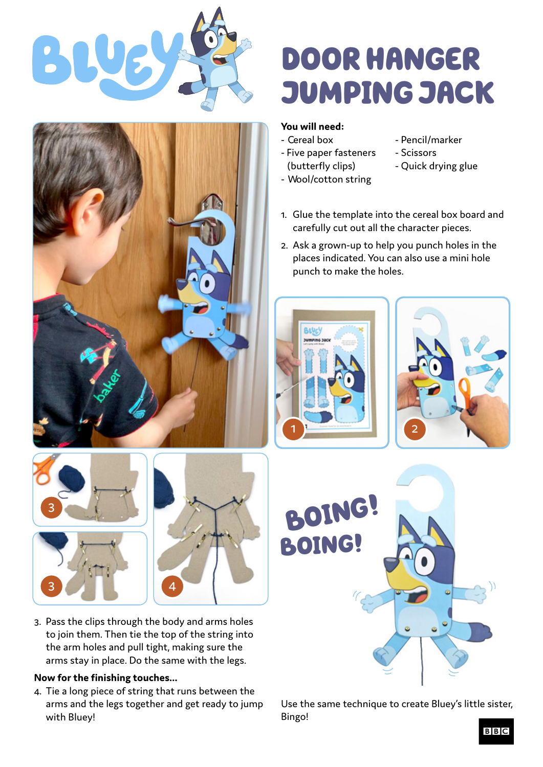



## DOOR HANGER JUMPING JACK

## **You will need:**

- 
- Five paper fasteners Scissors (butterfly clips) - Quick drying glue
- Wool/cotton string
- Cereal box Pencil/marker
	-
	-
- 1. Glue the template into the cereal box board and carefully cut out all the character pieces.
- 2. Ask a grown-up to help you punch holes in the places indicated. You can also use a mini hole punch to make the holes.







• Use the same technique to create Bluey's little sister, Bingo!

- 63 3 4 4 3. Pass the clips through the body and arms holes to join them. Then tie the top of the string into the arm holes and pull tight, making sure the
	- arms stay in place. Do the same with the legs.

## **Now for the finishing touches...**

3

 4. Tie a long piece of string that runs between the arms and the legs together and get ready to jump with Bluey!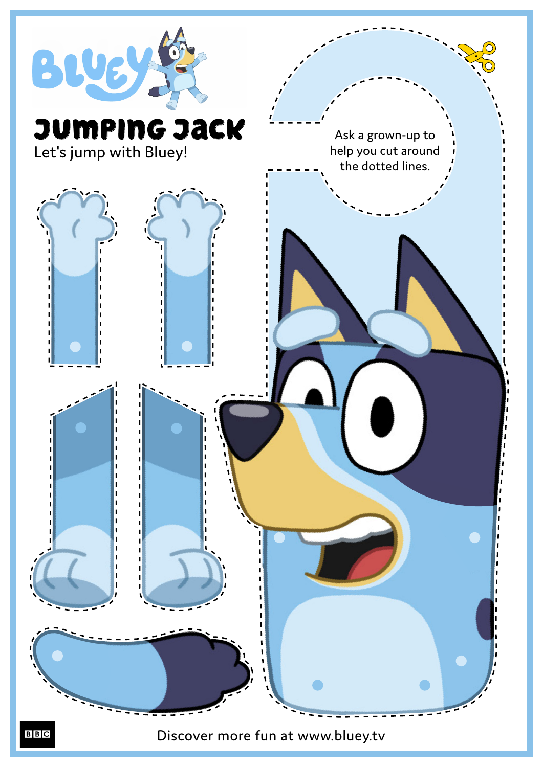

Discover more fun at www.bluey.tv